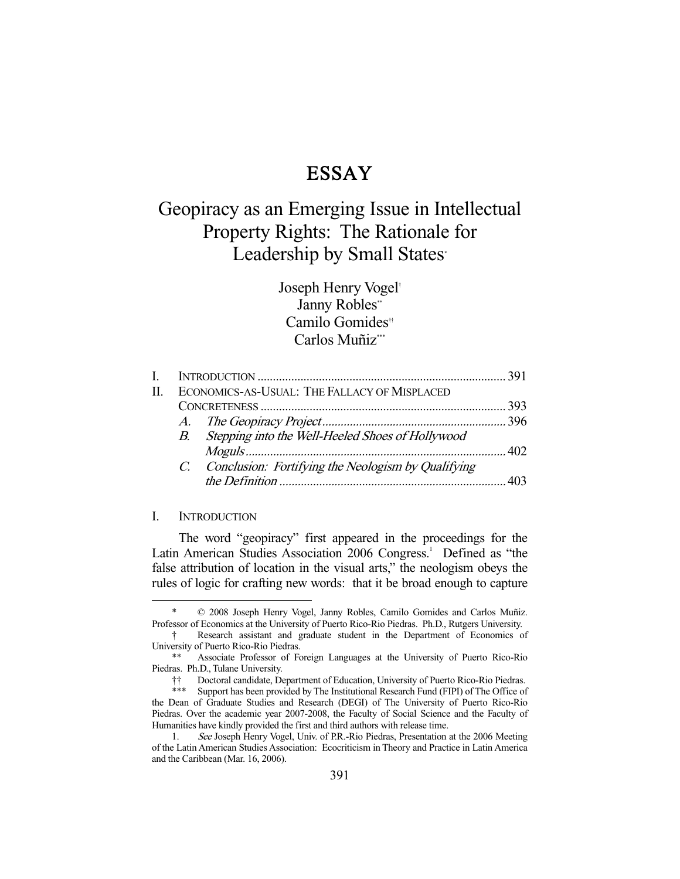## ESSAY

# Geopiracy as an Emerging Issue in Intellectual Property Rights: The Rationale for Leadership by Small States<sup>\*</sup>

Joseph Henry Vogel† Janny Robles\*\* Camilo Gomides†† Carlos Muñiz\*\*\*

| П | ECONOMICS-AS-USUAL: THE FALLACY OF MISPLACED |                                                       |  |
|---|----------------------------------------------|-------------------------------------------------------|--|
|   |                                              |                                                       |  |
|   |                                              |                                                       |  |
|   |                                              | B. Stepping into the Well-Heeled Shoes of Hollywood   |  |
|   |                                              |                                                       |  |
|   |                                              | C. Conclusion: Fortifying the Neologism by Qualifying |  |
|   |                                              |                                                       |  |
|   |                                              |                                                       |  |

### I. INTRODUCTION

-

 The word "geopiracy" first appeared in the proceedings for the Latin American Studies Association 2006 Congress.<sup>1</sup> Defined as "the false attribution of location in the visual arts," the neologism obeys the rules of logic for crafting new words: that it be broad enough to capture

 <sup>\* © 2008</sup> Joseph Henry Vogel, Janny Robles, Camilo Gomides and Carlos Muñiz. Professor of Economics at the University of Puerto Rico-Rio Piedras. Ph.D., Rutgers University.

 <sup>†</sup> Research assistant and graduate student in the Department of Economics of University of Puerto Rico-Rio Piedras.

Associate Professor of Foreign Languages at the University of Puerto Rico-Rio Piedras. Ph.D., Tulane University.

 <sup>††</sup> Doctoral candidate, Department of Education, University of Puerto Rico-Rio Piedras.

<sup>\*\*\*</sup> Support has been provided by The Institutional Research Fund (FIPI) of The Office of the Dean of Graduate Studies and Research (DEGI) of The University of Puerto Rico-Rio Piedras. Over the academic year 2007-2008, the Faculty of Social Science and the Faculty of Humanities have kindly provided the first and third authors with release time.

<sup>1.</sup> See Joseph Henry Vogel, Univ. of P.R.-Rio Piedras, Presentation at the 2006 Meeting of the Latin American Studies Association: Ecocriticism in Theory and Practice in Latin America and the Caribbean (Mar. 16, 2006).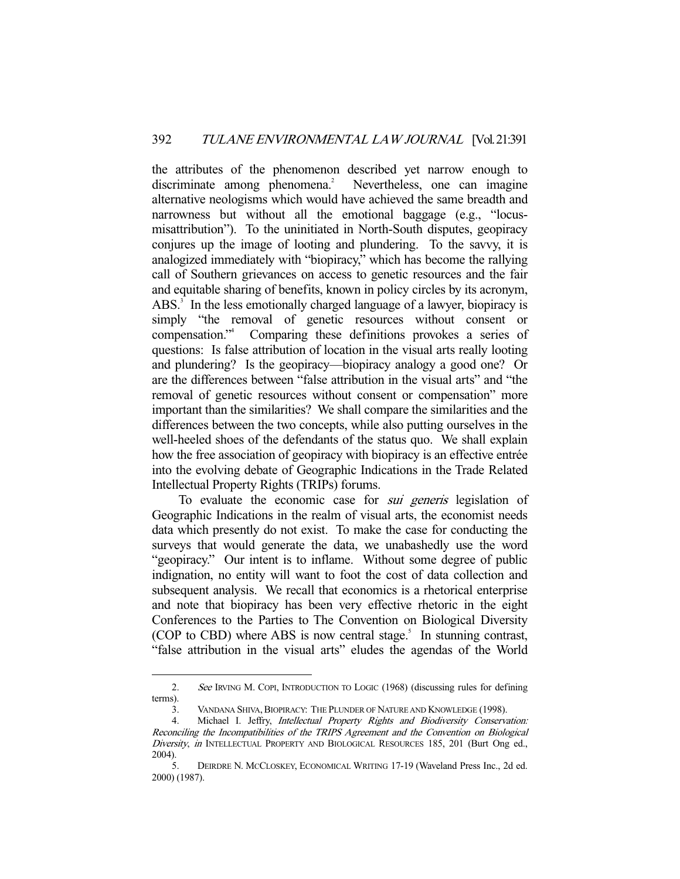the attributes of the phenomenon described yet narrow enough to discriminate among phenomena.<sup>2</sup> Nevertheless, one can imagine alternative neologisms which would have achieved the same breadth and narrowness but without all the emotional baggage (e.g., "locusmisattribution"). To the uninitiated in North-South disputes, geopiracy conjures up the image of looting and plundering. To the savvy, it is analogized immediately with "biopiracy," which has become the rallying call of Southern grievances on access to genetic resources and the fair and equitable sharing of benefits, known in policy circles by its acronym, ABS.<sup>3</sup> In the less emotionally charged language of a lawyer, biopiracy is simply "the removal of genetic resources without consent or compensation."4 Comparing these definitions provokes a series of questions: Is false attribution of location in the visual arts really looting and plundering? Is the geopiracy—biopiracy analogy a good one? Or are the differences between "false attribution in the visual arts" and "the removal of genetic resources without consent or compensation" more important than the similarities? We shall compare the similarities and the differences between the two concepts, while also putting ourselves in the well-heeled shoes of the defendants of the status quo. We shall explain how the free association of geopiracy with biopiracy is an effective entrée into the evolving debate of Geographic Indications in the Trade Related Intellectual Property Rights (TRIPs) forums.

To evaluate the economic case for *sui generis* legislation of Geographic Indications in the realm of visual arts, the economist needs data which presently do not exist. To make the case for conducting the surveys that would generate the data, we unabashedly use the word "geopiracy." Our intent is to inflame. Without some degree of public indignation, no entity will want to foot the cost of data collection and subsequent analysis. We recall that economics is a rhetorical enterprise and note that biopiracy has been very effective rhetoric in the eight Conferences to the Parties to The Convention on Biological Diversity (COP to CBD) where ABS is now central stage. $5$  In stunning contrast, "false attribution in the visual arts" eludes the agendas of the World

<sup>2.</sup> See IRVING M. COPI, INTRODUCTION TO LOGIC (1968) (discussing rules for defining terms).

<sup>3.</sup> VANDANA SHIVA, BIOPIRACY: THE PLUNDER OF NATURE AND KNOWLEDGE (1998).

 <sup>4.</sup> Michael I. Jeffry, Intellectual Property Rights and Biodiversity Conservation: Reconciling the Incompatibilities of the TRIPS Agreement and the Convention on Biological Diversity, in INTELLECTUAL PROPERTY AND BIOLOGICAL RESOURCES 185, 201 (Burt Ong ed., 2004).

 <sup>5.</sup> DEIRDRE N. MCCLOSKEY, ECONOMICAL WRITING 17-19 (Waveland Press Inc., 2d ed. 2000) (1987).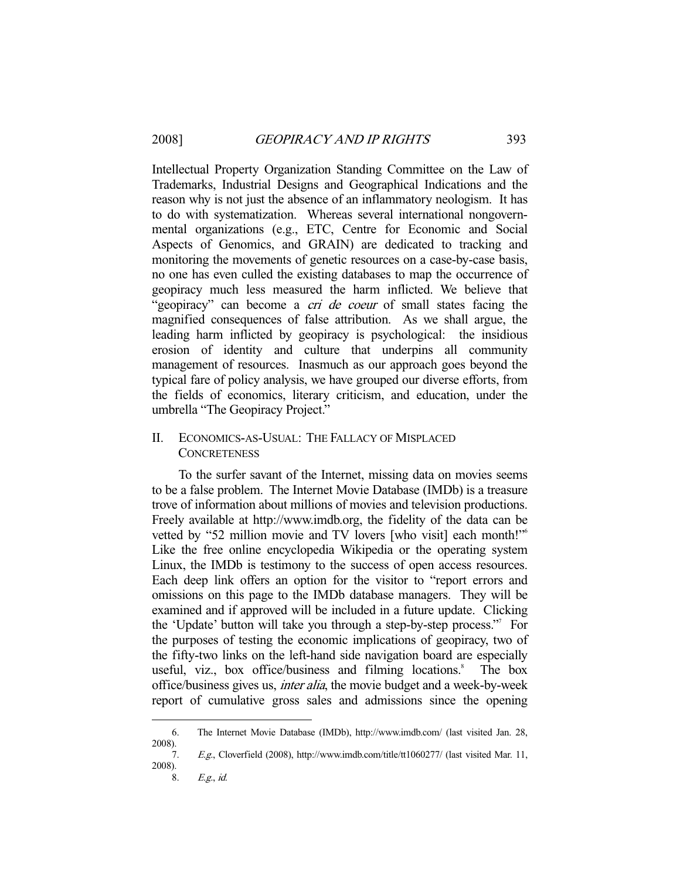Intellectual Property Organization Standing Committee on the Law of Trademarks, Industrial Designs and Geographical Indications and the reason why is not just the absence of an inflammatory neologism. It has to do with systematization. Whereas several international nongovernmental organizations (e.g., ETC, Centre for Economic and Social Aspects of Genomics, and GRAIN) are dedicated to tracking and monitoring the movements of genetic resources on a case-by-case basis, no one has even culled the existing databases to map the occurrence of geopiracy much less measured the harm inflicted. We believe that "geopiracy" can become a *cri de coeur* of small states facing the magnified consequences of false attribution. As we shall argue, the leading harm inflicted by geopiracy is psychological: the insidious erosion of identity and culture that underpins all community management of resources. Inasmuch as our approach goes beyond the typical fare of policy analysis, we have grouped our diverse efforts, from the fields of economics, literary criticism, and education, under the umbrella "The Geopiracy Project."

## II. ECONOMICS-AS-USUAL: THE FALLACY OF MISPLACED **CONCRETENESS**

 To the surfer savant of the Internet, missing data on movies seems to be a false problem. The Internet Movie Database (IMDb) is a treasure trove of information about millions of movies and television productions. Freely available at http://www.imdb.org, the fidelity of the data can be vetted by "52 million movie and TV lovers [who visit] each month!"<sup>6</sup> Like the free online encyclopedia Wikipedia or the operating system Linux, the IMDb is testimony to the success of open access resources. Each deep link offers an option for the visitor to "report errors and omissions on this page to the IMDb database managers. They will be examined and if approved will be included in a future update. Clicking the 'Update' button will take you through a step-by-step process."7 For the purposes of testing the economic implications of geopiracy, two of the fifty-two links on the left-hand side navigation board are especially useful, viz., box office/business and filming locations. $8$  The box office/business gives us, inter alia, the movie budget and a week-by-week report of cumulative gross sales and admissions since the opening

 <sup>6.</sup> The Internet Movie Database (IMDb), http://www.imdb.com/ (last visited Jan. 28, 2008).

 <sup>7.</sup> E.g., Cloverfield (2008), http://www.imdb.com/title/tt1060277/ (last visited Mar. 11, 2008).

 <sup>8.</sup> E.g., id.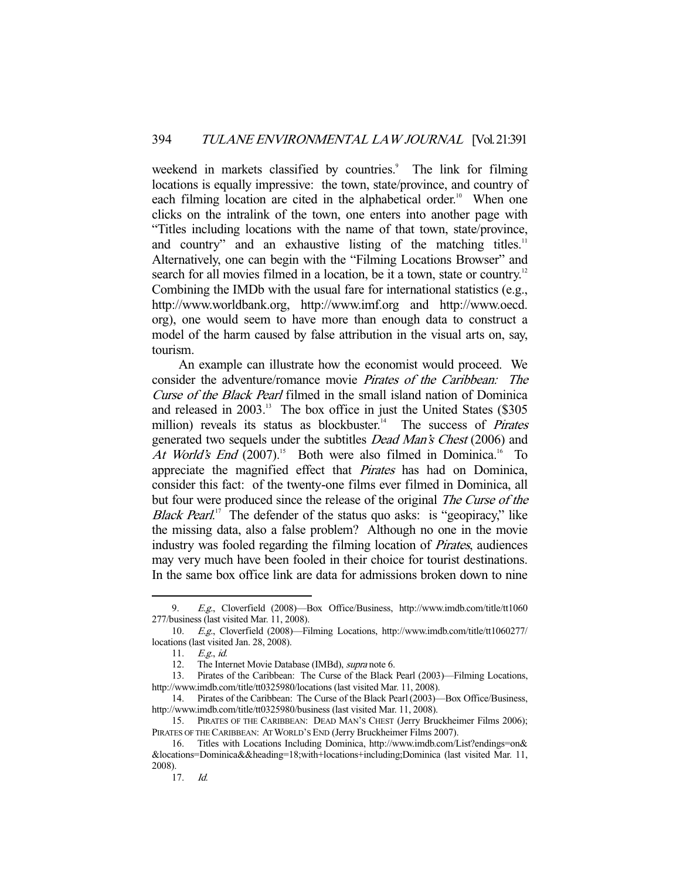weekend in markets classified by countries.<sup>9</sup> The link for filming locations is equally impressive: the town, state/province, and country of each filming location are cited in the alphabetical order.<sup>10</sup> When one clicks on the intralink of the town, one enters into another page with "Titles including locations with the name of that town, state/province, and country" and an exhaustive listing of the matching titles. $11$ Alternatively, one can begin with the "Filming Locations Browser" and search for all movies filmed in a location, be it a town, state or country.<sup>12</sup> Combining the IMDb with the usual fare for international statistics (e.g., http://www.worldbank.org, http://www.imf.org and http://www.oecd. org), one would seem to have more than enough data to construct a model of the harm caused by false attribution in the visual arts on, say, tourism.

 An example can illustrate how the economist would proceed. We consider the adventure/romance movie Pirates of the Caribbean: The Curse of the Black Pearl filmed in the small island nation of Dominica and released in 2003.<sup>13</sup> The box office in just the United States (\$305) million) reveals its status as blockbuster.<sup>14</sup> The success of *Pirates* generated two sequels under the subtitles Dead Man's Chest (2006) and At World's End  $(2007)^{15}$  Both were also filmed in Dominica.<sup>16</sup> To appreciate the magnified effect that Pirates has had on Dominica, consider this fact: of the twenty-one films ever filmed in Dominica, all but four were produced since the release of the original *The Curse of the Black Pearl.*<sup>17</sup> The defender of the status quo asks: is "geopiracy," like the missing data, also a false problem? Although no one in the movie industry was fooled regarding the filming location of Pirates, audiences may very much have been fooled in their choice for tourist destinations. In the same box office link are data for admissions broken down to nine

<sup>9.</sup> E.g., Cloverfield (2008)—Box Office/Business, http://www.imdb.com/title/tt1060 277/business (last visited Mar. 11, 2008).

 <sup>10.</sup> E.g., Cloverfield (2008)—Filming Locations, http://www.imdb.com/title/tt1060277/ locations (last visited Jan. 28, 2008).

 <sup>11.</sup> E.g., id.

 <sup>12.</sup> The Internet Movie Database (IMBd), supra note 6.

 <sup>13.</sup> Pirates of the Caribbean: The Curse of the Black Pearl (2003)—Filming Locations, http://www.imdb.com/title/tt0325980/locations (last visited Mar. 11, 2008).

 <sup>14.</sup> Pirates of the Caribbean: The Curse of the Black Pearl(2003)—Box Office/Business, http://www.imdb.com/title/tt0325980/business (last visited Mar. 11, 2008).

 <sup>15.</sup> PIRATES OF THE CARIBBEAN: DEAD MAN'S CHEST (Jerry Bruckheimer Films 2006); PIRATES OF THE CARIBBEAN: AT WORLD'S END (Jerry Bruckheimer Films 2007).

 <sup>16.</sup> Titles with Locations Including Dominica, http://www.imdb.com/List?endings=on& &locations=Dominica&&heading=18;with+locations+including;Dominica (last visited Mar. 11, 2008).

 <sup>17.</sup> Id.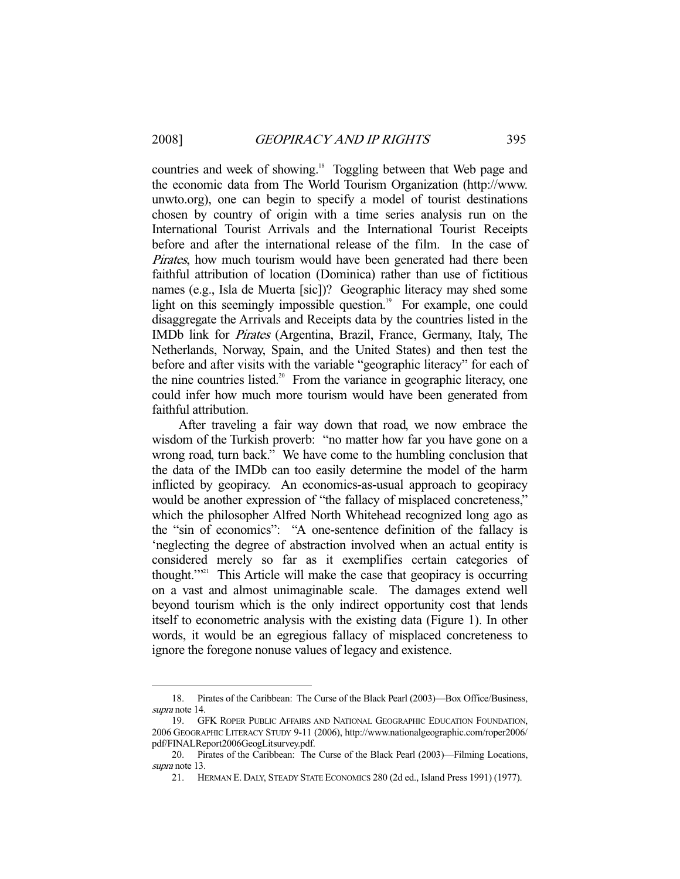countries and week of showing.<sup>18</sup> Toggling between that Web page and the economic data from The World Tourism Organization (http://www. unwto.org), one can begin to specify a model of tourist destinations chosen by country of origin with a time series analysis run on the International Tourist Arrivals and the International Tourist Receipts before and after the international release of the film. In the case of Pirates, how much tourism would have been generated had there been faithful attribution of location (Dominica) rather than use of fictitious names (e.g., Isla de Muerta [sic])? Geographic literacy may shed some light on this seemingly impossible question.<sup>19</sup> For example, one could disaggregate the Arrivals and Receipts data by the countries listed in the IMDb link for Pirates (Argentina, Brazil, France, Germany, Italy, The Netherlands, Norway, Spain, and the United States) and then test the before and after visits with the variable "geographic literacy" for each of the nine countries listed.<sup>20</sup> From the variance in geographic literacy, one could infer how much more tourism would have been generated from faithful attribution.

 After traveling a fair way down that road, we now embrace the wisdom of the Turkish proverb: "no matter how far you have gone on a wrong road, turn back." We have come to the humbling conclusion that the data of the IMDb can too easily determine the model of the harm inflicted by geopiracy. An economics-as-usual approach to geopiracy would be another expression of "the fallacy of misplaced concreteness," which the philosopher Alfred North Whitehead recognized long ago as the "sin of economics": "A one-sentence definition of the fallacy is 'neglecting the degree of abstraction involved when an actual entity is considered merely so far as it exemplifies certain categories of thought."<sup>21</sup> This Article will make the case that geopiracy is occurring on a vast and almost unimaginable scale. The damages extend well beyond tourism which is the only indirect opportunity cost that lends itself to econometric analysis with the existing data (Figure 1). In other words, it would be an egregious fallacy of misplaced concreteness to ignore the foregone nonuse values of legacy and existence.

 <sup>18.</sup> Pirates of the Caribbean: The Curse of the Black Pearl (2003)—Box Office/Business, supra note 14.

 <sup>19.</sup> GFK ROPER PUBLIC AFFAIRS AND NATIONAL GEOGRAPHIC EDUCATION FOUNDATION, 2006 GEOGRAPHIC LITERACY STUDY 9-11 (2006), http://www.nationalgeographic.com/roper2006/ pdf/FINALReport2006GeogLitsurvey.pdf.

 <sup>20.</sup> Pirates of the Caribbean: The Curse of the Black Pearl (2003)—Filming Locations, supra note 13.

 <sup>21.</sup> HERMAN E. DALY, STEADY STATE ECONOMICS 280 (2d ed., Island Press 1991) (1977).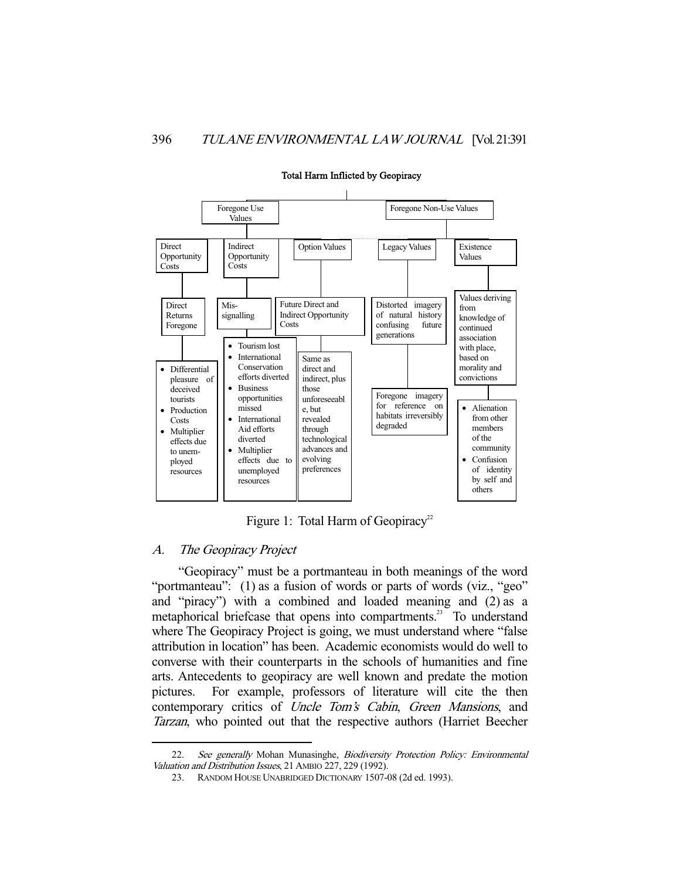

#### Total Harm Inflicted by Geopiracy

Figure 1: Total Harm of Geopiracy<sup>22</sup>

## A. The Geopiracy Project

-

 "Geopiracy" must be a portmanteau in both meanings of the word "portmanteau": (1) as a fusion of words or parts of words (viz., "geo" and "piracy") with a combined and loaded meaning and (2) as a metaphorical briefcase that opens into compartments.<sup>23</sup> To understand where The Geopiracy Project is going, we must understand where "false" attribution in location" has been. Academic economists would do well to converse with their counterparts in the schools of humanities and fine arts. Antecedents to geopiracy are well known and predate the motion pictures. For example, professors of literature will cite the then contemporary critics of *Uncle Tom's Cabin*, *Green Mansions*, and Tarzan, who pointed out that the respective authors (Harriet Beecher

<sup>22.</sup> See generally Mohan Munasinghe, Biodiversity Protection Policy: Environmental Valuation and Distribution Issues, 21 AMBIO 227, 229 (1992).

 <sup>23.</sup> RANDOM HOUSE UNABRIDGED DICTIONARY 1507-08 (2d ed. 1993).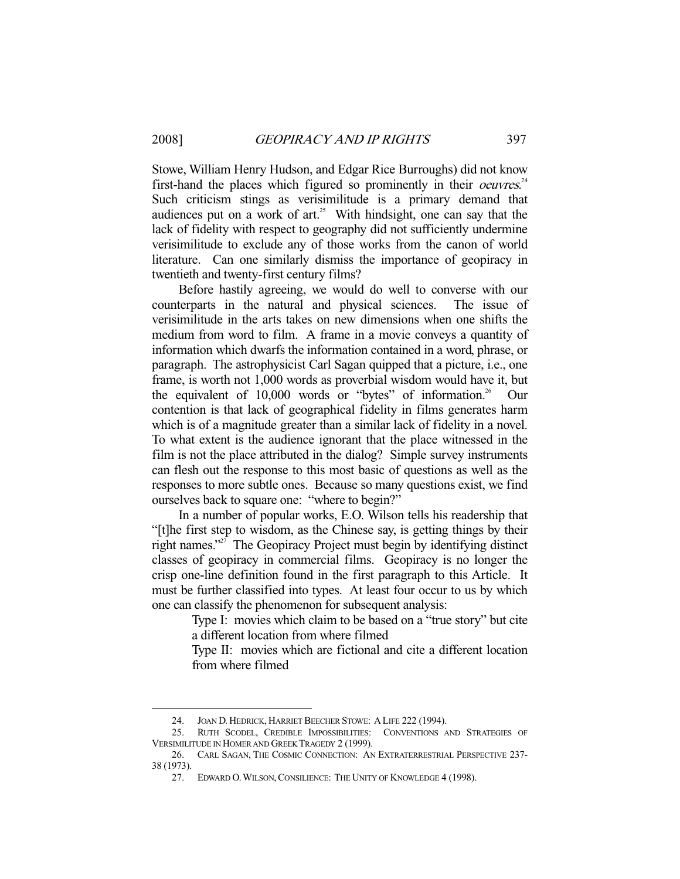Stowe, William Henry Hudson, and Edgar Rice Burroughs) did not know first-hand the places which figured so prominently in their *oeuvres*.<sup>24</sup> Such criticism stings as verisimilitude is a primary demand that audiences put on a work of  $art.^{25}$  With hindsight, one can say that the lack of fidelity with respect to geography did not sufficiently undermine verisimilitude to exclude any of those works from the canon of world literature. Can one similarly dismiss the importance of geopiracy in twentieth and twenty-first century films?

 Before hastily agreeing, we would do well to converse with our counterparts in the natural and physical sciences. The issue of verisimilitude in the arts takes on new dimensions when one shifts the medium from word to film. A frame in a movie conveys a quantity of information which dwarfs the information contained in a word, phrase, or paragraph. The astrophysicist Carl Sagan quipped that a picture, i.e., one frame, is worth not 1,000 words as proverbial wisdom would have it, but the equivalent of  $10,000$  words or "bytes" of information.<sup>26</sup> Our contention is that lack of geographical fidelity in films generates harm which is of a magnitude greater than a similar lack of fidelity in a novel. To what extent is the audience ignorant that the place witnessed in the film is not the place attributed in the dialog? Simple survey instruments can flesh out the response to this most basic of questions as well as the responses to more subtle ones. Because so many questions exist, we find ourselves back to square one: "where to begin?"

 In a number of popular works, E.O. Wilson tells his readership that "[t]he first step to wisdom, as the Chinese say, is getting things by their right names."27 The Geopiracy Project must begin by identifying distinct classes of geopiracy in commercial films. Geopiracy is no longer the crisp one-line definition found in the first paragraph to this Article. It must be further classified into types. At least four occur to us by which one can classify the phenomenon for subsequent analysis:

> Type I: movies which claim to be based on a "true story" but cite a different location from where filmed

> Type II: movies which are fictional and cite a different location from where filmed

 <sup>24.</sup> JOAN D. HEDRICK, HARRIET BEECHER STOWE: A LIFE 222 (1994).

 <sup>25.</sup> RUTH SCODEL, CREDIBLE IMPOSSIBILITIES: CONVENTIONS AND STRATEGIES OF VERSIMILITUDE IN HOMER AND GREEK TRAGEDY 2 (1999).

 <sup>26.</sup> CARL SAGAN, THE COSMIC CONNECTION: AN EXTRATERRESTRIAL PERSPECTIVE 237- 38 (1973).

 <sup>27.</sup> EDWARD O.WILSON,CONSILIENCE: THE UNITY OF KNOWLEDGE 4 (1998).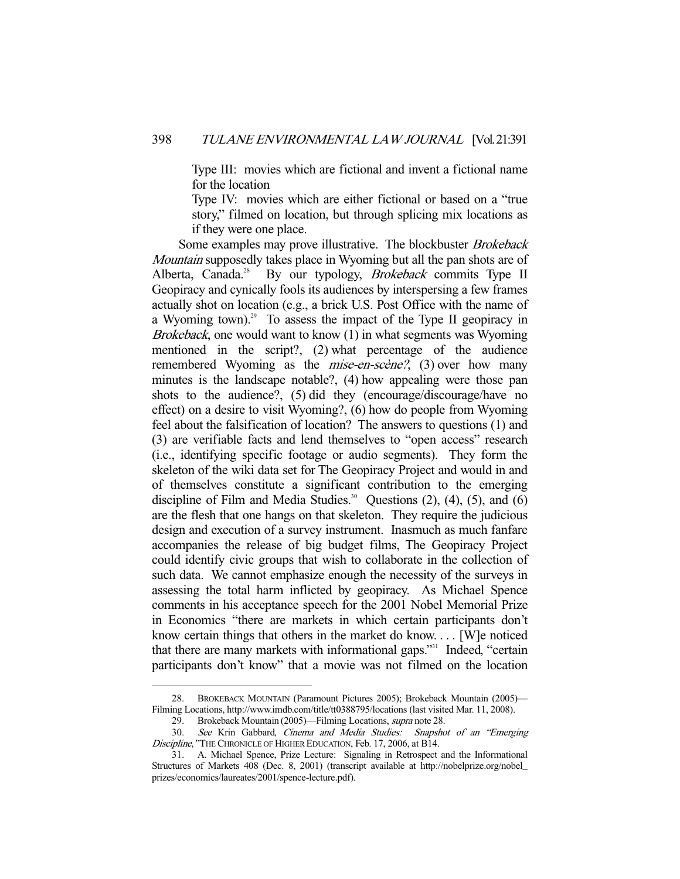Type III: movies which are fictional and invent a fictional name for the location

 Type IV: movies which are either fictional or based on a "true story," filmed on location, but through splicing mix locations as if they were one place.

Some examples may prove illustrative. The blockbuster Brokeback Mountain supposedly takes place in Wyoming but all the pan shots are of Alberta, Canada.<sup>28</sup> By our typology, *Brokeback* commits Type II Geopiracy and cynically fools its audiences by interspersing a few frames actually shot on location (e.g., a brick U.S. Post Office with the name of a Wyoming town).<sup>29</sup> To assess the impact of the Type II geopiracy in Brokeback, one would want to know (1) in what segments was Wyoming mentioned in the script?, (2) what percentage of the audience remembered Wyoming as the *mise-en-scène*?, (3) over how many minutes is the landscape notable?, (4) how appealing were those pan shots to the audience?, (5) did they (encourage/discourage/have no effect) on a desire to visit Wyoming?, (6) how do people from Wyoming feel about the falsification of location? The answers to questions (1) and (3) are verifiable facts and lend themselves to "open access" research (i.e., identifying specific footage or audio segments). They form the skeleton of the wiki data set for The Geopiracy Project and would in and of themselves constitute a significant contribution to the emerging discipline of Film and Media Studies.<sup>30</sup> Questions  $(2)$ ,  $(4)$ ,  $(5)$ , and  $(6)$ are the flesh that one hangs on that skeleton. They require the judicious design and execution of a survey instrument. Inasmuch as much fanfare accompanies the release of big budget films, The Geopiracy Project could identify civic groups that wish to collaborate in the collection of such data. We cannot emphasize enough the necessity of the surveys in assessing the total harm inflicted by geopiracy. As Michael Spence comments in his acceptance speech for the 2001 Nobel Memorial Prize in Economics "there are markets in which certain participants don't know certain things that others in the market do know. . . . [W]e noticed that there are many markets with informational gaps."<sup>31</sup> Indeed, "certain participants don't know" that a movie was not filmed on the location

 <sup>28.</sup> BROKEBACK MOUNTAIN (Paramount Pictures 2005); Brokeback Mountain (2005)— Filming Locations, http://www.imdb.com/title/tt0388795/locations (last visited Mar. 11, 2008).

 <sup>29.</sup> Brokeback Mountain (2005)—Filming Locations, supra note 28.

 <sup>30.</sup> See Krin Gabbard, Cinema and Media Studies: Snapshot of an "Emerging Discipline," THE CHRONICLE OF HIGHER EDUCATION, Feb. 17, 2006, at B14.

 <sup>31.</sup> A. Michael Spence, Prize Lecture: Signaling in Retrospect and the Informational Structures of Markets 408 (Dec. 8, 2001) (transcript available at http://nobelprize.org/nobel\_ prizes/economics/laureates/2001/spence-lecture.pdf).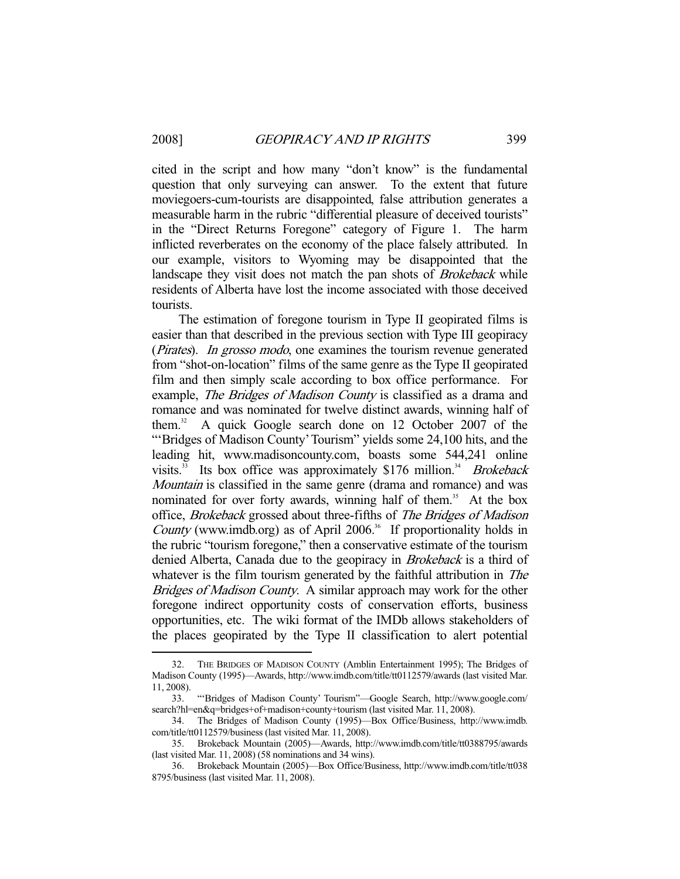cited in the script and how many "don't know" is the fundamental question that only surveying can answer. To the extent that future moviegoers-cum-tourists are disappointed, false attribution generates a measurable harm in the rubric "differential pleasure of deceived tourists" in the "Direct Returns Foregone" category of Figure 1. The harm inflicted reverberates on the economy of the place falsely attributed. In our example, visitors to Wyoming may be disappointed that the landscape they visit does not match the pan shots of *Brokeback* while residents of Alberta have lost the income associated with those deceived tourists.

 The estimation of foregone tourism in Type II geopirated films is easier than that described in the previous section with Type III geopiracy (*Pirates*). In grosso modo, one examines the tourism revenue generated from "shot-on-location" films of the same genre as the Type II geopirated film and then simply scale according to box office performance. For example, *The Bridges of Madison County* is classified as a drama and romance and was nominated for twelve distinct awards, winning half of them.<sup>32</sup> A quick Google search done on 12 October 2007 of the "'Bridges of Madison County' Tourism" yields some 24,100 hits, and the leading hit, www.madisoncounty.com, boasts some 544,241 online visits.<sup>33</sup> Its box office was approximately \$176 million.<sup>34</sup> Brokeback Mountain is classified in the same genre (drama and romance) and was nominated for over forty awards, winning half of them.<sup>35</sup> At the box office, Brokeback grossed about three-fifths of The Bridges of Madison County (www.imdb.org) as of April 2006.<sup>36</sup> If proportionality holds in the rubric "tourism foregone," then a conservative estimate of the tourism denied Alberta, Canada due to the geopiracy in *Brokeback* is a third of whatever is the film tourism generated by the faithful attribution in *The* Bridges of Madison County. A similar approach may work for the other foregone indirect opportunity costs of conservation efforts, business opportunities, etc. The wiki format of the IMDb allows stakeholders of the places geopirated by the Type II classification to alert potential

 <sup>32.</sup> THE BRIDGES OF MADISON COUNTY (Amblin Entertainment 1995); The Bridges of Madison County (1995)—Awards, http://www.imdb.com/title/tt0112579/awards (last visited Mar. 11, 2008).

 <sup>33. &</sup>quot;'Bridges of Madison County' Tourism"—Google Search, http://www.google.com/ search?hl=en&q=bridges+of+madison+county+tourism (last visited Mar. 11, 2008).

 <sup>34.</sup> The Bridges of Madison County (1995)—Box Office/Business, http://www.imdb. com/title/tt0112579/business (last visited Mar. 11, 2008).

 <sup>35.</sup> Brokeback Mountain (2005)—Awards, http://www.imdb.com/title/tt0388795/awards (last visited Mar. 11, 2008) (58 nominations and 34 wins).

 <sup>36.</sup> Brokeback Mountain (2005)—Box Office/Business, http://www.imdb.com/title/tt038 8795/business (last visited Mar. 11, 2008).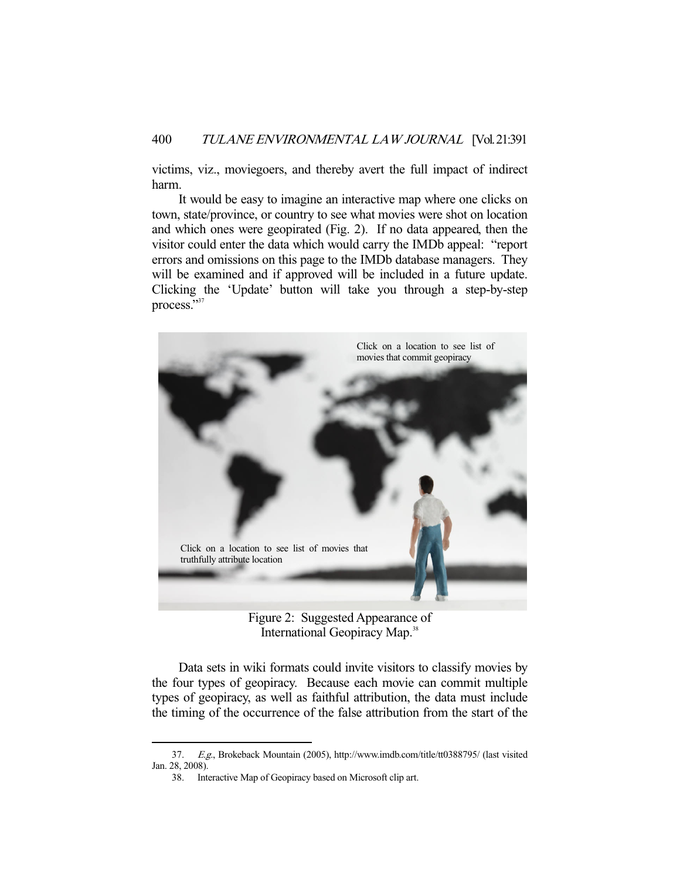victims, viz., moviegoers, and thereby avert the full impact of indirect harm.

 It would be easy to imagine an interactive map where one clicks on town, state/province, or country to see what movies were shot on location and which ones were geopirated (Fig. 2). If no data appeared, then the visitor could enter the data which would carry the IMDb appeal: "report errors and omissions on this page to the IMDb database managers. They will be examined and if approved will be included in a future update. Clicking the 'Update' button will take you through a step-by-step process."<sup>37</sup>



Figure 2: Suggested Appearance of International Geopiracy Map.<sup>38</sup>

 Data sets in wiki formats could invite visitors to classify movies by the four types of geopiracy. Because each movie can commit multiple types of geopiracy, as well as faithful attribution, the data must include the timing of the occurrence of the false attribution from the start of the

 <sup>37.</sup> E.g., Brokeback Mountain (2005), http://www.imdb.com/title/tt0388795/ (last visited Jan. 28, 2008).

 <sup>38.</sup> Interactive Map of Geopiracy based on Microsoft clip art.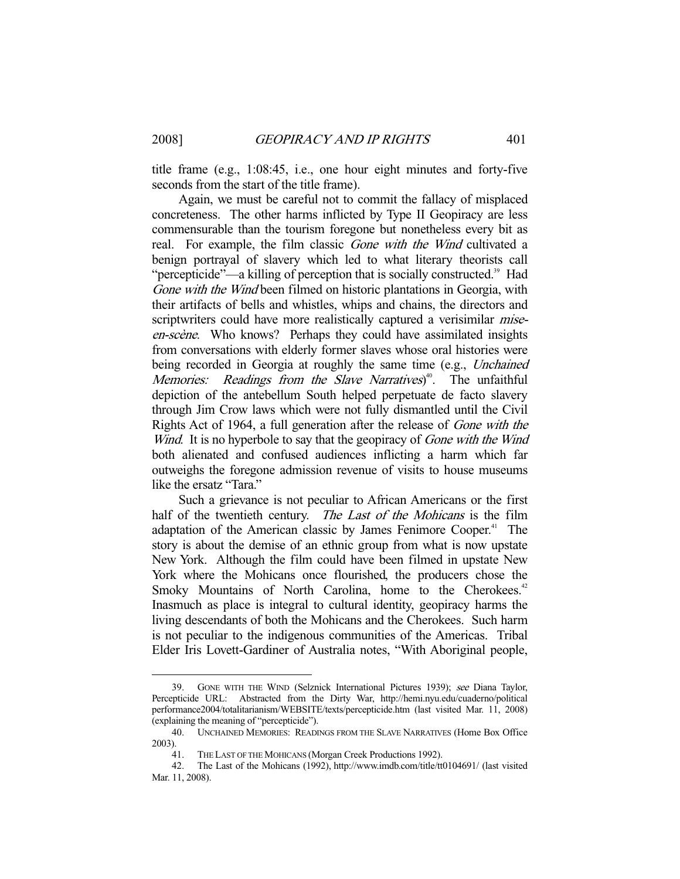title frame (e.g., 1:08:45, i.e., one hour eight minutes and forty-five seconds from the start of the title frame).

 Again, we must be careful not to commit the fallacy of misplaced concreteness. The other harms inflicted by Type II Geopiracy are less commensurable than the tourism foregone but nonetheless every bit as real. For example, the film classic Gone with the Wind cultivated a benign portrayal of slavery which led to what literary theorists call "percepticide"—a killing of perception that is socially constructed.<sup>39</sup> Had Gone with the Wind been filmed on historic plantations in Georgia, with their artifacts of bells and whistles, whips and chains, the directors and scriptwriters could have more realistically captured a verisimilar *mise*en-scène. Who knows? Perhaps they could have assimilated insights from conversations with elderly former slaves whose oral histories were being recorded in Georgia at roughly the same time (e.g., *Unchained* Memories: Readings from the Slave Narratives)<sup>40</sup>. The unfaithful depiction of the antebellum South helped perpetuate de facto slavery through Jim Crow laws which were not fully dismantled until the Civil Rights Act of 1964, a full generation after the release of Gone with the Wind. It is no hyperbole to say that the geopiracy of *Gone with the Wind* both alienated and confused audiences inflicting a harm which far outweighs the foregone admission revenue of visits to house museums like the ersatz "Tara."

 Such a grievance is not peculiar to African Americans or the first half of the twentieth century. The Last of the Mohicans is the film adaptation of the American classic by James Fenimore Cooper.<sup>41</sup> The story is about the demise of an ethnic group from what is now upstate New York. Although the film could have been filmed in upstate New York where the Mohicans once flourished, the producers chose the Smoky Mountains of North Carolina, home to the Cherokees.<sup>42</sup> Inasmuch as place is integral to cultural identity, geopiracy harms the living descendants of both the Mohicans and the Cherokees. Such harm is not peculiar to the indigenous communities of the Americas. Tribal Elder Iris Lovett-Gardiner of Australia notes, "With Aboriginal people,

<sup>-</sup> 39. GONE WITH THE WIND (Selznick International Pictures 1939); see Diana Taylor, Percepticide URL: Abstracted from the Dirty War, http://hemi.nyu.edu/cuaderno/political performance2004/totalitarianism/WEBSITE/texts/percepticide.htm (last visited Mar. 11, 2008) (explaining the meaning of "percepticide").

 <sup>40.</sup> UNCHAINED MEMORIES: READINGS FROM THE SLAVE NARRATIVES (Home Box Office 2003).

<sup>41.</sup> THE LAST OF THE MOHICANS (Morgan Creek Productions 1992).<br>42. The Last of the Mohicans (1992), http://www.imdb.com/title/tt

 <sup>42.</sup> The Last of the Mohicans (1992), http://www.imdb.com/title/tt0104691/ (last visited Mar. 11, 2008).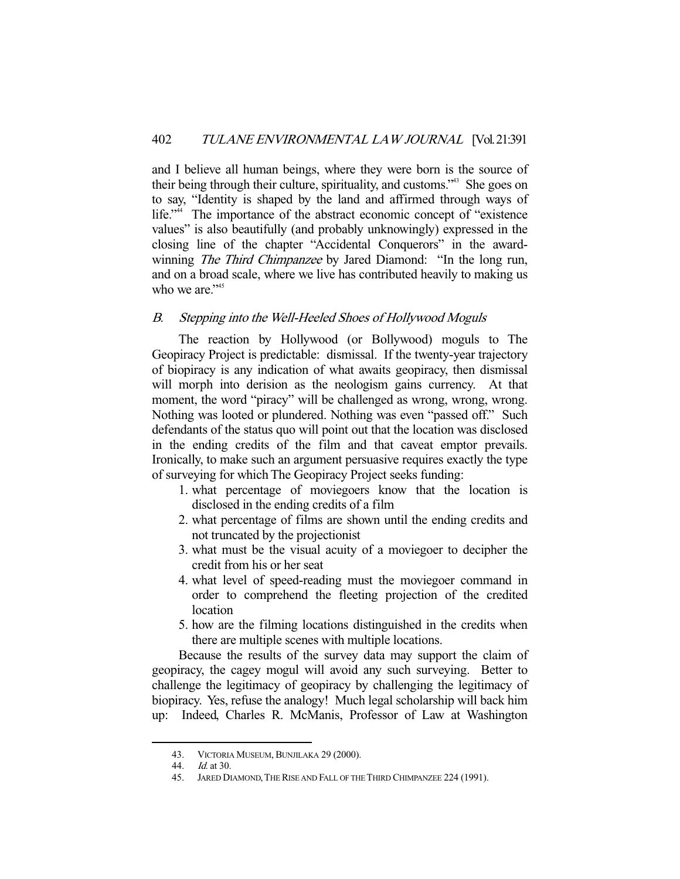and I believe all human beings, where they were born is the source of their being through their culture, spirituality, and customs."43 She goes on to say, "Identity is shaped by the land and affirmed through ways of life."<sup>44</sup> The importance of the abstract economic concept of "existence" values" is also beautifully (and probably unknowingly) expressed in the closing line of the chapter "Accidental Conquerors" in the awardwinning *The Third Chimpanzee* by Jared Diamond: "In the long run, and on a broad scale, where we live has contributed heavily to making us who we are."<sup>45</sup>

## B. Stepping into the Well-Heeled Shoes of Hollywood Moguls

 The reaction by Hollywood (or Bollywood) moguls to The Geopiracy Project is predictable: dismissal. If the twenty-year trajectory of biopiracy is any indication of what awaits geopiracy, then dismissal will morph into derision as the neologism gains currency. At that moment, the word "piracy" will be challenged as wrong, wrong, wrong. Nothing was looted or plundered. Nothing was even "passed off." Such defendants of the status quo will point out that the location was disclosed in the ending credits of the film and that caveat emptor prevails. Ironically, to make such an argument persuasive requires exactly the type of surveying for which The Geopiracy Project seeks funding:

- 1. what percentage of moviegoers know that the location is disclosed in the ending credits of a film
- 2. what percentage of films are shown until the ending credits and not truncated by the projectionist
- 3. what must be the visual acuity of a moviegoer to decipher the credit from his or her seat
- 4. what level of speed-reading must the moviegoer command in order to comprehend the fleeting projection of the credited location
- 5. how are the filming locations distinguished in the credits when there are multiple scenes with multiple locations.

 Because the results of the survey data may support the claim of geopiracy, the cagey mogul will avoid any such surveying. Better to challenge the legitimacy of geopiracy by challenging the legitimacy of biopiracy. Yes, refuse the analogy! Much legal scholarship will back him up: Indeed, Charles R. McManis, Professor of Law at Washington

<sup>43.</sup> VICTORIA MUSEUM, BUNJILAKA 29 (2000).

 <sup>44.</sup> Id. at 30.

 <sup>45.</sup> JARED DIAMOND,THE RISE AND FALL OF THE THIRD CHIMPANZEE 224 (1991).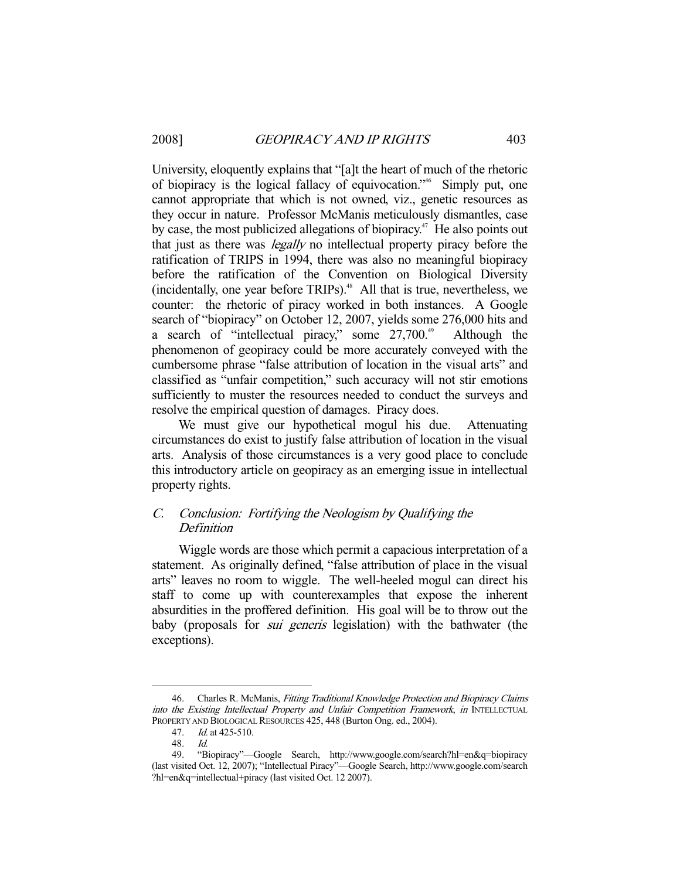University, eloquently explains that "[a]t the heart of much of the rhetoric of biopiracy is the logical fallacy of equivocation."46 Simply put, one cannot appropriate that which is not owned, viz., genetic resources as they occur in nature. Professor McManis meticulously dismantles, case by case, the most publicized allegations of biopiracy.<sup> $47$ </sup> He also points out that just as there was legally no intellectual property piracy before the ratification of TRIPS in 1994, there was also no meaningful biopiracy before the ratification of the Convention on Biological Diversity (incidentally, one year before TRIPs). $48$  All that is true, nevertheless, we counter: the rhetoric of piracy worked in both instances. A Google search of "biopiracy" on October 12, 2007, yields some 276,000 hits and a search of "intellectual piracy," some  $27,700$ <sup>49</sup> Although the phenomenon of geopiracy could be more accurately conveyed with the cumbersome phrase "false attribution of location in the visual arts" and classified as "unfair competition," such accuracy will not stir emotions sufficiently to muster the resources needed to conduct the surveys and resolve the empirical question of damages. Piracy does.

We must give our hypothetical mogul his due. Attenuating circumstances do exist to justify false attribution of location in the visual arts. Analysis of those circumstances is a very good place to conclude this introductory article on geopiracy as an emerging issue in intellectual property rights.

## C. Conclusion: Fortifying the Neologism by Qualifying the Definition

 Wiggle words are those which permit a capacious interpretation of a statement. As originally defined, "false attribution of place in the visual arts" leaves no room to wiggle. The well-heeled mogul can direct his staff to come up with counterexamples that expose the inherent absurdities in the proffered definition. His goal will be to throw out the baby (proposals for *sui generis* legislation) with the bathwater (the exceptions).

 <sup>46.</sup> Charles R. McManis, Fitting Traditional Knowledge Protection and Biopiracy Claims into the Existing Intellectual Property and Unfair Competition Framework, in INTELLECTUAL PROPERTY AND BIOLOGICAL RESOURCES 425, 448 (Burton Ong. ed., 2004).

 <sup>47.</sup> Id. at 425-510.

 <sup>48.</sup> Id.

 <sup>49. &</sup>quot;Biopiracy"—Google Search, http://www.google.com/search?hl=en&q=biopiracy (last visited Oct. 12, 2007); "Intellectual Piracy"—Google Search, http://www.google.com/search ?hl=en&q=intellectual+piracy (last visited Oct. 12 2007).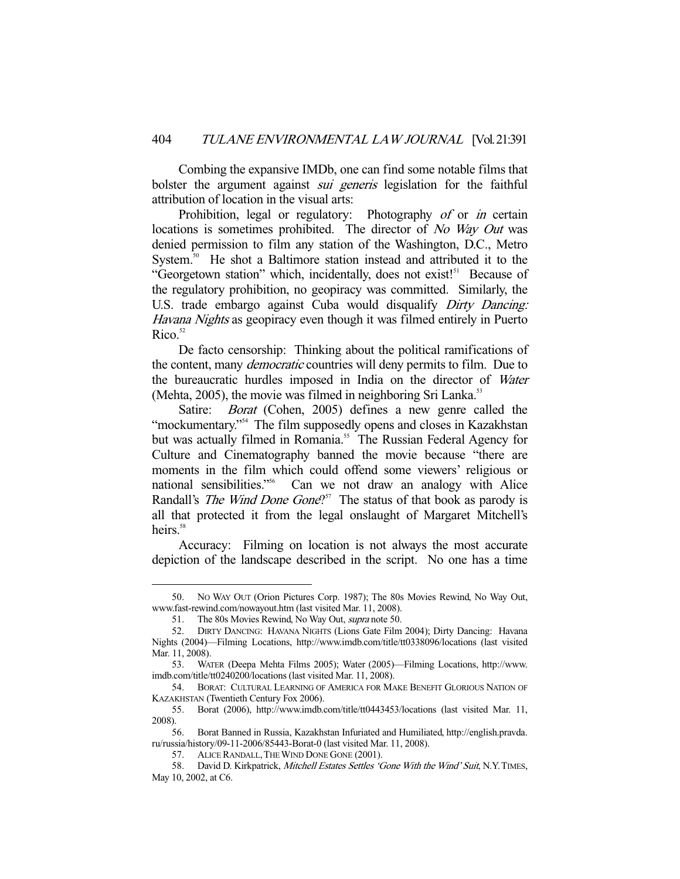Combing the expansive IMDb, one can find some notable films that bolster the argument against *sui generis* legislation for the faithful attribution of location in the visual arts:

Prohibition, legal or regulatory: Photography of or in certain locations is sometimes prohibited. The director of No Way Out was denied permission to film any station of the Washington, D.C., Metro System.<sup>50</sup> He shot a Baltimore station instead and attributed it to the "Georgetown station" which, incidentally, does not exist!<sup>51</sup> Because of the regulatory prohibition, no geopiracy was committed. Similarly, the U.S. trade embargo against Cuba would disqualify Dirty Dancing: Havana Nights as geopiracy even though it was filmed entirely in Puerto  $Rico.<sup>52</sup>$ 

 De facto censorship: Thinking about the political ramifications of the content, many *democratic* countries will deny permits to film. Due to the bureaucratic hurdles imposed in India on the director of Water (Mehta,  $2005$ ), the movie was filmed in neighboring Sri Lanka.<sup>53</sup>

Satire: *Borat* (Cohen, 2005) defines a new genre called the "mockumentary."<sup>54</sup> The film supposedly opens and closes in Kazakhstan but was actually filmed in Romania.<sup>55</sup> The Russian Federal Agency for Culture and Cinematography banned the movie because "there are moments in the film which could offend some viewers' religious or national sensibilities."<sup>56</sup> Can we not draw an analogy with Alice Randall's *The Wind Done Gone*?<sup>57</sup> The status of that book as parody is all that protected it from the legal onslaught of Margaret Mitchell's heirs.<sup>58</sup>

 Accuracy: Filming on location is not always the most accurate depiction of the landscape described in the script. No one has a time

 <sup>50.</sup> NO WAY OUT (Orion Pictures Corp. 1987); The 80s Movies Rewind, No Way Out, www.fast-rewind.com/nowayout.htm (last visited Mar. 11, 2008).

<sup>51.</sup> The 80s Movies Rewind, No Way Out, *supra* note 50.

 <sup>52.</sup> DIRTY DANCING: HAVANA NIGHTS (Lions Gate Film 2004); Dirty Dancing: Havana Nights (2004)—Filming Locations, http://www.imdb.com/title/tt0338096/locations (last visited Mar. 11, 2008).

 <sup>53.</sup> WATER (Deepa Mehta Films 2005); Water (2005)—Filming Locations, http://www. imdb.com/title/tt0240200/locations (last visited Mar. 11, 2008).

 <sup>54.</sup> BORAT: CULTURAL LEARNING OF AMERICA FOR MAKE BENEFIT GLORIOUS NATION OF KAZAKHSTAN (Twentieth Century Fox 2006).

 <sup>55.</sup> Borat (2006), http://www.imdb.com/title/tt0443453/locations (last visited Mar. 11, 2008).

 <sup>56.</sup> Borat Banned in Russia, Kazakhstan Infuriated and Humiliated, http://english.pravda. ru/russia/history/09-11-2006/85443-Borat-0 (last visited Mar. 11, 2008).

 <sup>57.</sup> ALICE RANDALL,THE WIND DONE GONE (2001).

<sup>58.</sup> David D. Kirkpatrick, Mitchell Estates Settles 'Gone With the Wind' Suit, N.Y. TIMES, May 10, 2002, at C6.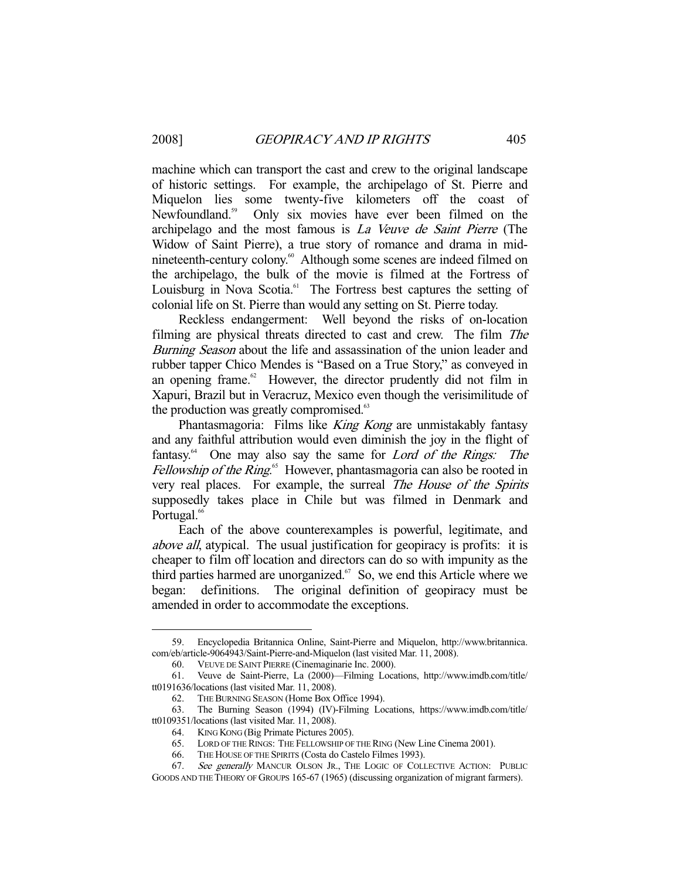machine which can transport the cast and crew to the original landscape of historic settings. For example, the archipelago of St. Pierre and Miquelon lies some twenty-five kilometers off the coast of Newfoundland.<sup>59</sup> Only six movies have ever been filmed on the archipelago and the most famous is La Veuve de Saint Pierre (The Widow of Saint Pierre), a true story of romance and drama in midnineteenth-century colony.<sup>60</sup> Although some scenes are indeed filmed on the archipelago, the bulk of the movie is filmed at the Fortress of Louisburg in Nova Scotia.<sup>61</sup> The Fortress best captures the setting of colonial life on St. Pierre than would any setting on St. Pierre today.

 Reckless endangerment: Well beyond the risks of on-location filming are physical threats directed to cast and crew. The film The Burning Season about the life and assassination of the union leader and rubber tapper Chico Mendes is "Based on a True Story," as conveyed in an opening frame. $62$  However, the director prudently did not film in Xapuri, Brazil but in Veracruz, Mexico even though the verisimilitude of the production was greatly compromised.<sup>63</sup>

Phantasmagoria: Films like King Kong are unmistakably fantasy and any faithful attribution would even diminish the joy in the flight of fantasy.<sup>64</sup> One may also say the same for Lord of the Rings: The Fellowship of the Ring.<sup>65</sup> However, phantasmagoria can also be rooted in very real places. For example, the surreal The House of the Spirits supposedly takes place in Chile but was filmed in Denmark and Portugal.<sup>66</sup>

 Each of the above counterexamples is powerful, legitimate, and above all, atypical. The usual justification for geopiracy is profits: it is cheaper to film off location and directors can do so with impunity as the third parties harmed are unorganized.<sup>67</sup> So, we end this Article where we began: definitions. The original definition of geopiracy must be amended in order to accommodate the exceptions.

 <sup>59.</sup> Encyclopedia Britannica Online, Saint-Pierre and Miquelon, http://www.britannica. com/eb/article-9064943/Saint-Pierre-and-Miquelon (last visited Mar. 11, 2008).

<sup>60.</sup> VEUVE DE SAINT PIERRE (Cinemaginarie Inc. 2000).<br>61. Veuve de Saint-Pierre, La (2000)—Filming Loca

Veuve de Saint-Pierre, La (2000)—Filming Locations, http://www.imdb.com/title/ tt0191636/locations (last visited Mar. 11, 2008).

 <sup>62.</sup> THE BURNING SEASON (Home Box Office 1994).

 <sup>63.</sup> The Burning Season (1994) (IV)-Filming Locations, https://www.imdb.com/title/ tt0109351/locations (last visited Mar. 11, 2008).

<sup>64.</sup> KING KONG (Big Primate Pictures 2005).<br>65. LORD OF THE RINGS: THE FELLOWSHIP OF

LORD OF THE RINGS: THE FELLOWSHIP OF THE RING (New Line Cinema 2001).

 <sup>66.</sup> THE HOUSE OF THE SPIRITS (Costa do Castelo Filmes 1993).

<sup>67.</sup> See generally MANCUR OLSON JR., THE LOGIC OF COLLECTIVE ACTION: PUBLIC GOODS AND THE THEORY OF GROUPS 165-67 (1965) (discussing organization of migrant farmers).